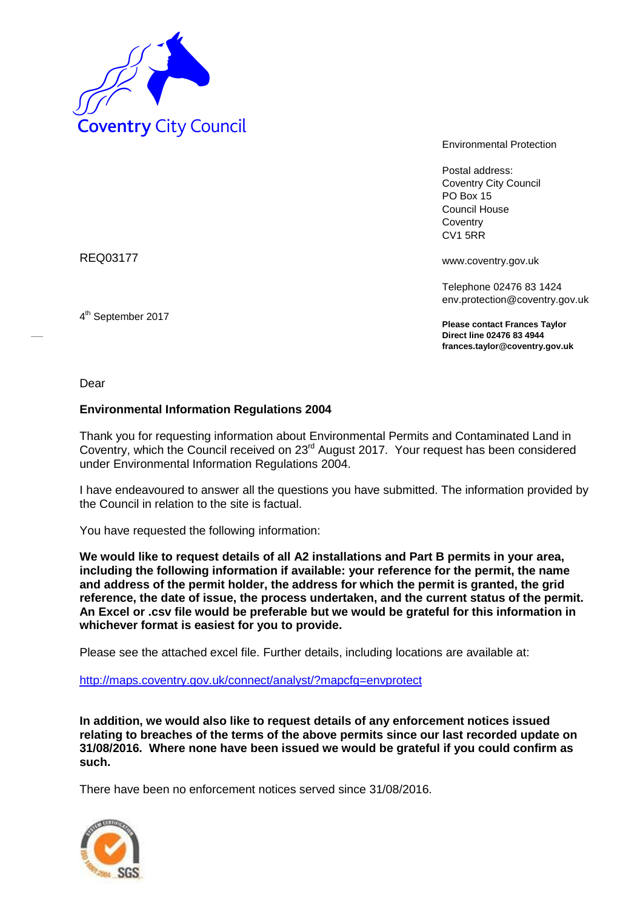

Environmental Protection

Postal address: Coventry City Council PO Box 15 Council House **Coventry** CV1 5RR

REQ03177

4 th September 2017

www.coventry.gov.uk

Telephone 02476 83 1424 env.protection@coventry.gov.uk

**Please contact Frances Taylor Direct line 02476 83 4944 frances.taylor@coventry.gov.uk**

Dear

# **Environmental Information Regulations 2004**

Thank you for requesting information about Environmental Permits and Contaminated Land in Coventry, which the Council received on 23rd August 2017. Your request has been considered under Environmental Information Regulations 2004.

I have endeavoured to answer all the questions you have submitted. The information provided by the Council in relation to the site is factual.

You have requested the following information:

**We would like to request details of all A2 installations and Part B permits in your area, including the following information if available: your reference for the permit, the name and address of the permit holder, the address for which the permit is granted, the grid reference, the date of issue, the process undertaken, and the current status of the permit. An Excel or .csv file would be preferable but we would be grateful for this information in whichever format is easiest for you to provide.**

Please see the attached excel file. Further details, including locations are available at:

http://maps.coventry.gov.uk/connect/analyst/?mapcfg=envprotect

**In addition, we would also like to request details of any enforcement notices issued relating to breaches of the terms of the above permits since our last recorded update on 31/08/2016. Where none have been issued we would be grateful if you could confirm as such.**

There have been no enforcement notices served since 31/08/2016.